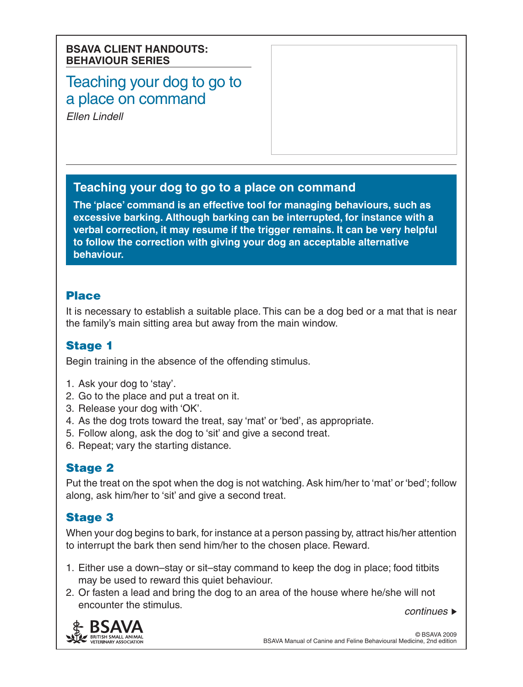#### **BSAVA CLIENT HANDOUTS: BEHAVIOUR SERIES**

# Teaching your dog to go to a place on command

*Ellen Lindell*

### **Teaching your dog to go to a place on command**

**The 'place' command is an effective tool for managing behaviours, such as excessive barking. Although barking can be interrupted, for instance with a verbal correction, it may resume if the trigger remains. It can be very helpful to follow the correction with giving your dog an acceptable alternative behaviour.**

#### Place

It is necessary to establish a suitable place. This can be a dog bed or a mat that is near the family's main sitting area but away from the main window.

### Stage 1

Begin training in the absence of the offending stimulus.

- 1. Ask your dog to 'stay'.
- 2. Go to the place and put a treat on it.
- 3. Release your dog with 'OK'.
- 4. As the dog trots toward the treat, say 'mat' or 'bed', as appropriate.
- 5. Follow along, ask the dog to 'sit' and give a second treat.
- 6. Repeat; vary the starting distance.

## **Stage 2**

Put the treat on the spot when the dog is not watching. Ask him/her to 'mat' or 'bed'; follow along, ask him/her to 'sit' and give a second treat.

## Stage 3

When your dog begins to bark, for instance at a person passing by, attract his/her attention to interrupt the bark then send him/her to the chosen place. Reward.

- 1. Either use a down–stay or sit–stay command to keep the dog in place; food titbits may be used to reward this quiet behaviour.
- *continues* 2. Or fasten a lead and bring the dog to an area of the house where he/she will not encounter the stimulus.

BRITISH SMALL ANIM